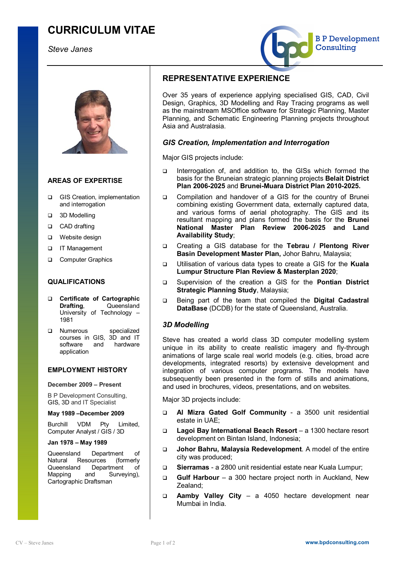# **CURRICULUM VITAE**

# *Steve Janes*





# **AREAS OF EXPERTISE**

- GIS Creation, implementation and interrogation
- q 3D Modelling
- □ CAD drafting
- □ Website design
- **q** IT Management
- **Computer Graphics**

# **QUALIFICATIONS**

- q **Certificate of Cartographic Drafting, Queensland** University of Technology – 1981
- **Q** Numerous specialized courses in GIS, 3D and IT<br>software and hardware software and application

#### **EMPLOYMENT HISTORY**

#### **December 2009 – Present**

B P Development Consulting, GIS, 3D and IT Specialist

#### **May 1989 –December 2009**

Burchill VDM Pty Limited, Computer Analyst / GIS / 3D

#### **Jan 1978 – May 1989**

Queensland Department of Natural Resources (formerly Queensland Department of<br>Mapping and Surveving). Mapping and Surveying), Cartographic Draftsman

# **REPRESENTATIVE EXPERIENCE**

Over 35 years of experience applying specialised GIS, CAD, Civil Design, Graphics, 3D Modelling and Ray Tracing programs as well as the mainstream MSOffice software for Strategic Planning, Master Planning, and Schematic Engineering Planning projects throughout Asia and Australasia.

#### *GIS Creation, Implementation and Interrogation*

Major GIS projects include:

- q Interrogation of, and addition to, the GISs which formed the basis for the Bruneian strategic planning projects **Belait District Plan 2006-2025** and **Brunei-Muara District Plan 2010-2025.**
- q Compilation and handover of a GIS for the country of Brunei combining existing Government data, externally captured data, and various forms of aerial photography. The GIS and its resultant mapping and plans formed the basis for the **Brunei National Master Plan Review 2006-2025 and Land Availability Study**;
- q Creating a GIS database for the **Tebrau / Plentong River Basin Development Master Plan,** Johor Bahru, Malaysia;
- q Utilisation of various data types to create a GIS for the **Kuala Lumpur Structure Plan Review & Masterplan 2020**;
- q Supervision of the creation a GIS for the **Pontian District Strategic Planning Study**, Malaysia;
- q Being part of the team that compiled the **Digital Cadastral DataBase** (DCDB) for the state of Queensland, Australia.

# *3D Modelling*

Steve has created a world class 3D computer modelling system unique in its ability to create realistic imagery and fly-through animations of large scale real world models (e.g. cities, broad acre developments, integrated resorts) by extensive development and integration of various computer programs. The models have subsequently been presented in the form of stills and animations. and used in brochures, videos, presentations, and on websites.

Major 3D projects include:

- q **Al Mizra Gated Golf Community** a 3500 unit residential estate in UAE;
- q **Lagoi Bay International Beach Resort** a 1300 hectare resort development on Bintan Island, Indonesia;
- q **Johor Bahru, Malaysia Redevelopment**. A model of the entire city was produced;
- q **Sierramas**  a 2800 unit residential estate near Kuala Lumpur;
- q **Gulf Harbour** a 300 hectare project north in Auckland, New Zealand;
- q **Aamby Valley City** a 4050 hectare development near Mumbai in India.